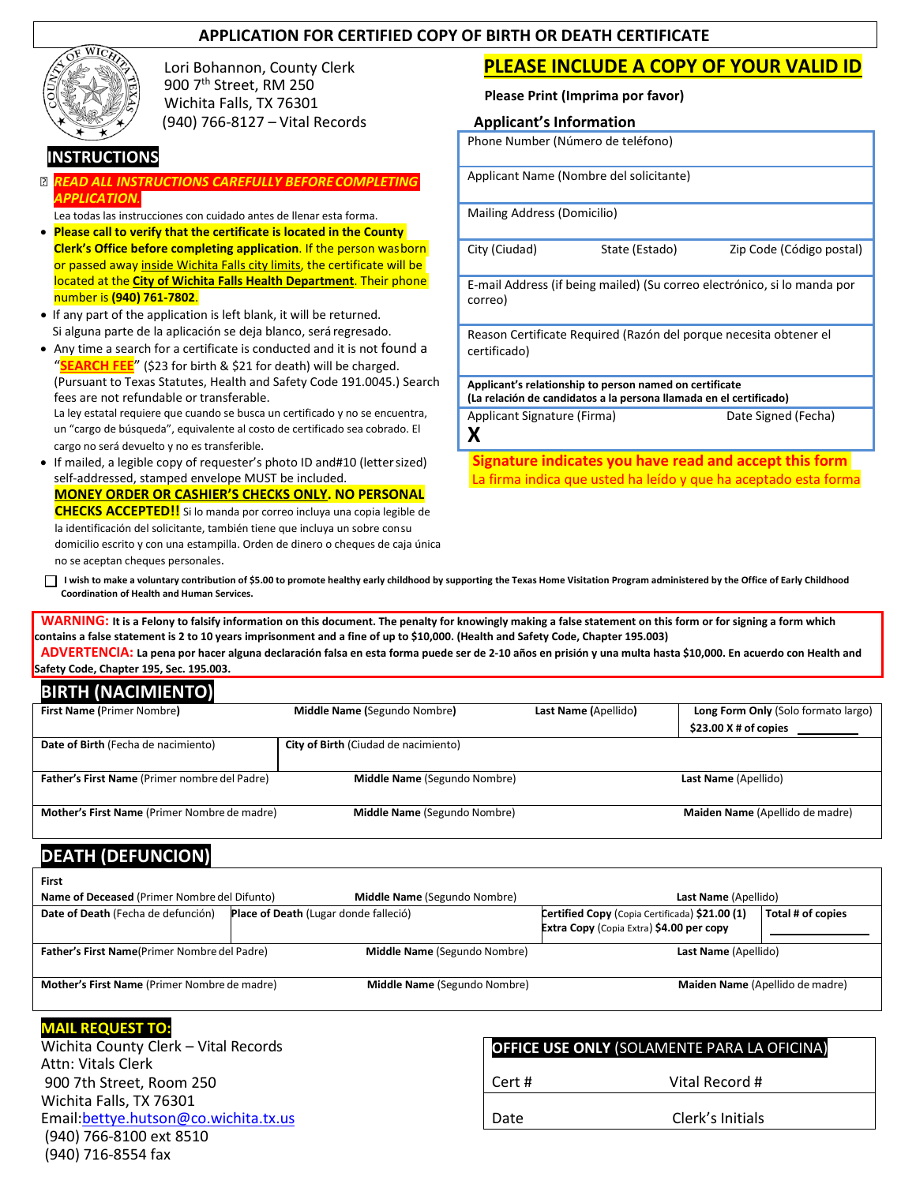#### **APPLICATION FOR CERTIFIED COPY OF BIRTH OR DEATH CERTIFICATE**



Lori Bohannon, County Clerk 900 7th Street, RM 250 Wichita Falls, TX 76301 (940) 766-8127 – Vital Records **Applicant's Information**

## **INSTRUCTIONS**

- *READ ALL INSTRUCTIONS CAREFULLY BEFORECOMPLETING APPLICATION.*
- Lea todas las instrucciones con cuidado antes de llenar esta forma.
- **Please call to verify that the certificate is located in the County Clerk's Office before completing application**. If the person wasborn or passed away inside Wichita Falls city limits, the certificate will be located at the **City of Wichita Falls Health Department**. Their phone number is **(940) 761-7802**.
- If any part of the application is left blank, it will be returned. Si alguna parte de la aplicación se deja blanco, será regresado.
- Any time a search for a certificate is conducted and it is not found a "**SEARCH FEE**" (\$23 for birth & \$21 for death) will be charged. (Pursuant to Texas Statutes, Health and Safety Code 191.0045.) Search fees are not refundable or transferable. La ley estatal requiere que cuando se busca un certificado y no se encuentra, un "cargo de búsqueda", equivalente al costo de certificado sea cobrado. El cargo no será devuelto y no es transferible. • If mailed, a legible copy of requester's photo ID and#10 (lettersized)

self-addressed, stamped envelope MUST be included. **MONEY ORDER OR CASHIER'S CHECKS ONLY. NO PERSONAL CHECKS ACCEPTED!!** Si lo manda por correo incluya una copia legible de la identificación del solicitante, también tiene que incluya un sobre consu domicilio escrito y con una estampilla. Orden de dinero o cheques de caja única no se aceptan cheques personales.

# **PLEASE INCLUDE A COPY OF YOUR VALID ID**

**Please Print (Imprima por favor)**

| <b>Applicant's Information</b>                                                      |  |  |  |
|-------------------------------------------------------------------------------------|--|--|--|
| Phone Number (Número de teléfono)                                                   |  |  |  |
| Applicant Name (Nombre del solicitante)                                             |  |  |  |
| Mailing Address (Domicilio)                                                         |  |  |  |
| City (Ciudad)<br>State (Estado)<br>Zip Code (Código postal)                         |  |  |  |
| E-mail Address (if being mailed) (Su correo electrónico, si lo manda por<br>correo) |  |  |  |
| Reason Certificate Required (Razón del porque necesita obtener el<br>certificado)   |  |  |  |

**Applicant's relationship to person named on certificate (La relación de candidatos a la persona llamada en el certificado)** Applicant Signature (Firma) Date Signed (Fecha)

**X**

**Signature indicates you have read and accept this form**  La firma indica que usted ha leído y que ha aceptado esta forma

I wish to make a voluntary contribution of \$5.00 to promote healthy early childhood by supporting the Texas Home Visitation Program administered by the Office of Early Childhood **Coordination of Health and Human Services.**

**WARNING: It is a Felony to falsify information on this document. The penalty for knowingly making a false statement on this form or for signing a form which contains a false statement is 2 to 10 years imprisonment and a fine of up to \$10,000. (Health and Safety Code, Chapter 195.003)**

**ADVERTENCIA: La pena por hacer alguna declaración falsa en esta forma puede ser de 2-10 años en prisión y una multa hasta \$10,000. En acuerdo con Health and Safety Code, Chapter 195, Sec. 195.003.**

# **BIRTH (NACIMIENTO)**

| <b>First Name (Primer Nombre)</b>             | Middle Name (Segundo Nombre)                | Last Name (Apellido) | Long Form Only (Solo formato largo) |
|-----------------------------------------------|---------------------------------------------|----------------------|-------------------------------------|
|                                               |                                             |                      | $$23.00$ X # of copies              |
| Date of Birth (Fecha de nacimiento)           | <b>City of Birth (Ciudad de nacimiento)</b> |                      |                                     |
|                                               |                                             |                      |                                     |
| Father's First Name (Primer nombre del Padre) | Middle Name (Segundo Nombre)                |                      | Last Name (Apellido)                |
|                                               |                                             |                      |                                     |
| Mother's First Name (Primer Nombre de madre)  | Middle Name (Segundo Nombre)                |                      | Maiden Name (Apellido de madre)     |
|                                               |                                             |                      |                                     |

# **DEATH (DEFUNCION)**

| First                                                |                                       |                              |                                                                                            |                                 |
|------------------------------------------------------|---------------------------------------|------------------------------|--------------------------------------------------------------------------------------------|---------------------------------|
| Name of Deceased (Primer Nombre del Difunto)         |                                       | Middle Name (Segundo Nombre) | Last Name (Apellido)                                                                       |                                 |
| Date of Death (Fecha de defunción)                   | Place of Death (Lugar donde falleció) |                              | Certified Copy (Copia Certificada) \$21.00 (1)<br>Extra Copy (Copia Extra) \$4.00 per copy | Total # of copies               |
| <b>Father's First Name</b> (Primer Nombre del Padre) |                                       | Middle Name (Segundo Nombre) | Last Name (Apellido)                                                                       |                                 |
| Mother's First Name (Primer Nombre de madre)         |                                       | Middle Name (Segundo Nombre) |                                                                                            | Maiden Name (Apellido de madre) |

#### **MAIL REQUEST TO:**

Wichita County Clerk – Vital Records Attn: Vitals Clerk 900 7th Street, Room 250 Wichita Falls, TX 76301 Email[:bettye.hutson@co.wichita.tx.us](mailto:bettye.hutson@co.wichita.tx.us) (940) 766-8100 ext 8510 (940) 716-8554 fax

| <b>OFFICE USE ONLY (SOLAMENTE PARA LA OFICINA)</b> |                  |  |  |
|----------------------------------------------------|------------------|--|--|
| Cert #                                             | Vital Record #   |  |  |
| Date                                               | Clerk's Initials |  |  |